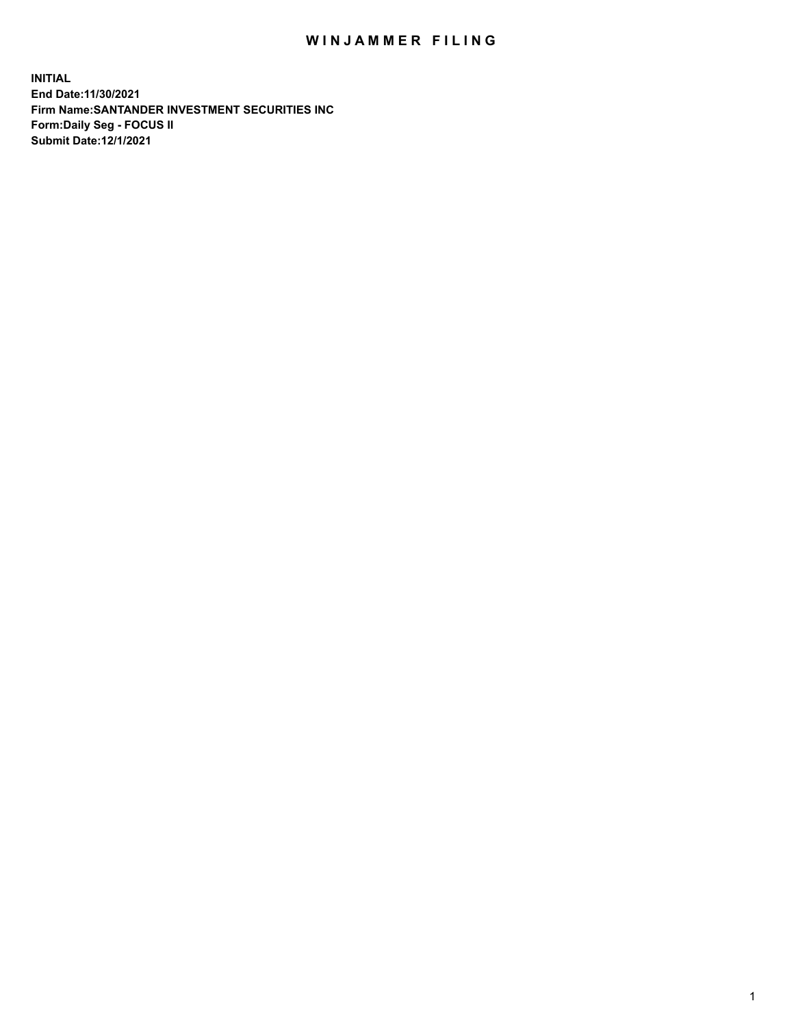## WIN JAMMER FILING

**INITIAL End Date:11/30/2021 Firm Name:SANTANDER INVESTMENT SECURITIES INC Form:Daily Seg - FOCUS II Submit Date:12/1/2021**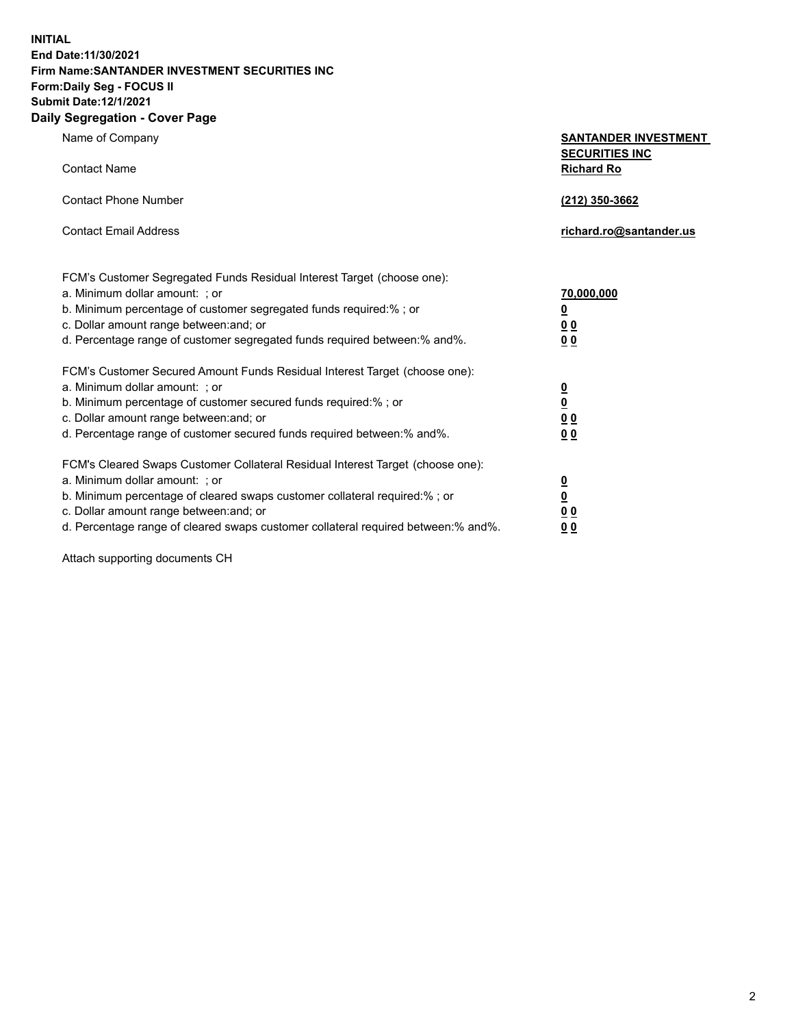**INITIAL End Date:11/30/2021 Firm Name:SANTANDER INVESTMENT SECURITIES INC Form:Daily Seg - FOCUS II Submit Date:12/1/2021 Daily Segregation - Cover Page**

| Name of Company                                                                                          | <b>SANTANDER INVESTMENT</b>                |
|----------------------------------------------------------------------------------------------------------|--------------------------------------------|
| <b>Contact Name</b>                                                                                      | <b>SECURITIES INC</b><br><b>Richard Ro</b> |
| <b>Contact Phone Number</b>                                                                              | (212) 350-3662                             |
| <b>Contact Email Address</b>                                                                             | richard.ro@santander.us                    |
|                                                                                                          |                                            |
| FCM's Customer Segregated Funds Residual Interest Target (choose one):<br>a. Minimum dollar amount: ; or | 70,000,000                                 |
| b. Minimum percentage of customer segregated funds required:% ; or                                       | $\overline{\mathbf{0}}$                    |
| c. Dollar amount range between: and; or                                                                  | 0 <sub>0</sub>                             |
| d. Percentage range of customer segregated funds required between:% and%.                                | 0 <sub>0</sub>                             |
| FCM's Customer Secured Amount Funds Residual Interest Target (choose one):                               |                                            |
| a. Minimum dollar amount: ; or                                                                           | $\frac{0}{0}$                              |
| b. Minimum percentage of customer secured funds required:%; or                                           |                                            |
| c. Dollar amount range between: and; or                                                                  | 0 <sub>0</sub>                             |
| d. Percentage range of customer secured funds required between: % and %.                                 | 0 <sub>0</sub>                             |
| FCM's Cleared Swaps Customer Collateral Residual Interest Target (choose one):                           |                                            |
| a. Minimum dollar amount: ; or                                                                           | $\overline{\mathbf{0}}$                    |
| b. Minimum percentage of cleared swaps customer collateral required:% ; or                               | $\underline{\mathbf{0}}$                   |
| c. Dollar amount range between: and; or                                                                  | 0 <sub>0</sub>                             |
| d. Percentage range of cleared swaps customer collateral required between:% and%.                        | <u>00</u>                                  |

Attach supporting documents CH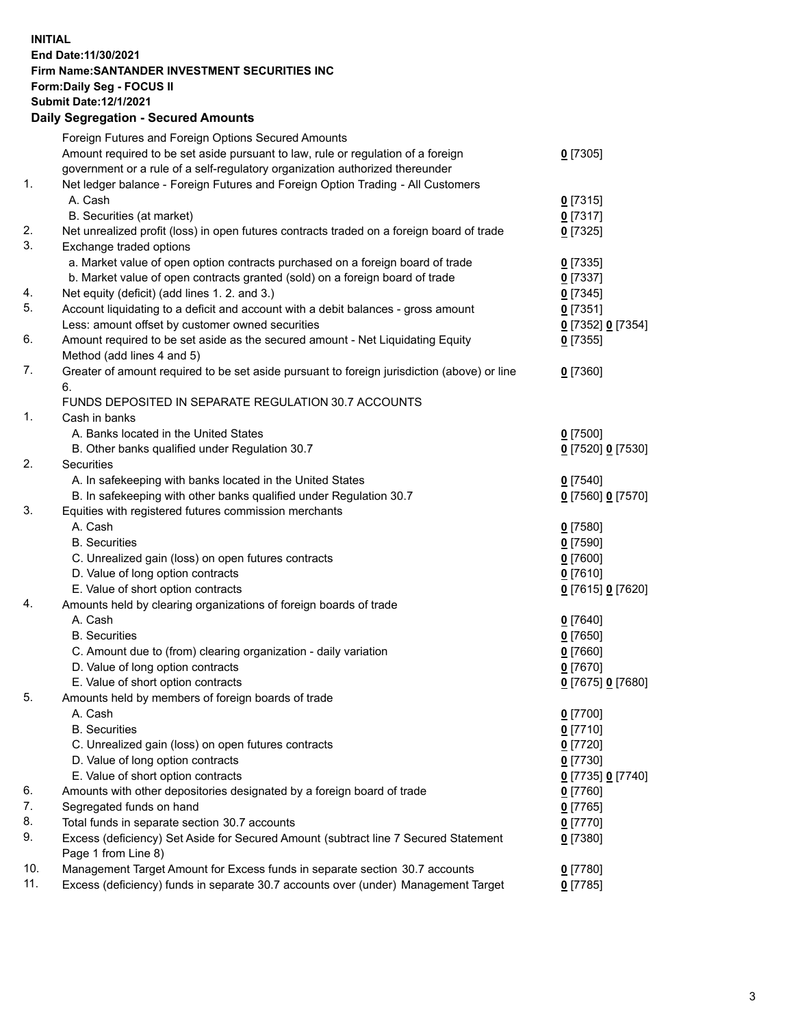## **INITIAL End Date:11/30/2021 Firm Name:SANTANDER INVESTMENT SECURITIES INC Form:Daily Seg - FOCUS II Submit Date:12/1/2021 Daily Segregation - Secured Amounts**

|     | Foreign Futures and Foreign Options Secured Amounts                                         |                   |
|-----|---------------------------------------------------------------------------------------------|-------------------|
|     | Amount required to be set aside pursuant to law, rule or regulation of a foreign            | $0$ [7305]        |
|     | government or a rule of a self-regulatory organization authorized thereunder                |                   |
| 1.  | Net ledger balance - Foreign Futures and Foreign Option Trading - All Customers             |                   |
|     | A. Cash                                                                                     | $0$ [7315]        |
|     | B. Securities (at market)                                                                   | $0$ [7317]        |
| 2.  | Net unrealized profit (loss) in open futures contracts traded on a foreign board of trade   | $0$ [7325]        |
| 3.  | Exchange traded options                                                                     |                   |
|     | a. Market value of open option contracts purchased on a foreign board of trade              | $0$ [7335]        |
|     | b. Market value of open contracts granted (sold) on a foreign board of trade                | $0$ [7337]        |
| 4.  | Net equity (deficit) (add lines 1. 2. and 3.)                                               | $0$ [7345]        |
| 5.  | Account liquidating to a deficit and account with a debit balances - gross amount           | $0$ [7351]        |
|     | Less: amount offset by customer owned securities                                            | 0 [7352] 0 [7354] |
| 6.  | Amount required to be set aside as the secured amount - Net Liquidating Equity              | $0$ [7355]        |
|     | Method (add lines 4 and 5)                                                                  |                   |
| 7.  | Greater of amount required to be set aside pursuant to foreign jurisdiction (above) or line | $0$ [7360]        |
|     | 6.                                                                                          |                   |
|     | FUNDS DEPOSITED IN SEPARATE REGULATION 30.7 ACCOUNTS                                        |                   |
| 1.  | Cash in banks                                                                               |                   |
|     | A. Banks located in the United States                                                       | $0$ [7500]        |
|     | B. Other banks qualified under Regulation 30.7                                              | 0 [7520] 0 [7530] |
| 2.  | Securities                                                                                  |                   |
|     | A. In safekeeping with banks located in the United States                                   | $0$ [7540]        |
|     | B. In safekeeping with other banks qualified under Regulation 30.7                          | 0 [7560] 0 [7570] |
| 3.  | Equities with registered futures commission merchants                                       |                   |
|     | A. Cash                                                                                     | $0$ [7580]        |
|     | <b>B.</b> Securities                                                                        | $0$ [7590]        |
|     | C. Unrealized gain (loss) on open futures contracts                                         | $0$ [7600]        |
|     | D. Value of long option contracts                                                           | $0$ [7610]        |
|     | E. Value of short option contracts                                                          | 0 [7615] 0 [7620] |
| 4.  | Amounts held by clearing organizations of foreign boards of trade                           |                   |
|     | A. Cash                                                                                     | $0$ [7640]        |
|     | <b>B.</b> Securities                                                                        | $0$ [7650]        |
|     | C. Amount due to (from) clearing organization - daily variation                             | $0$ [7660]        |
|     | D. Value of long option contracts                                                           | $0$ [7670]        |
|     | E. Value of short option contracts                                                          | 0 [7675] 0 [7680] |
| 5.  | Amounts held by members of foreign boards of trade                                          |                   |
|     | A. Cash                                                                                     | $0$ [7700]        |
|     | <b>B.</b> Securities                                                                        | $0$ [7710]        |
|     | C. Unrealized gain (loss) on open futures contracts                                         | $0$ [7720]        |
|     | D. Value of long option contracts                                                           | $0$ [7730]        |
|     | E. Value of short option contracts                                                          | 0 [7735] 0 [7740] |
| 6.  | Amounts with other depositories designated by a foreign board of trade                      | $0$ [7760]        |
| 7.  | Segregated funds on hand                                                                    | $0$ [7765]        |
| 8.  | Total funds in separate section 30.7 accounts                                               | $0$ [7770]        |
| 9.  | Excess (deficiency) Set Aside for Secured Amount (subtract line 7 Secured Statement         | $0$ [7380]        |
|     | Page 1 from Line 8)                                                                         |                   |
| 10. | Management Target Amount for Excess funds in separate section 30.7 accounts                 | $0$ [7780]        |
| 11. | Excess (deficiency) funds in separate 30.7 accounts over (under) Management Target          | $0$ [7785]        |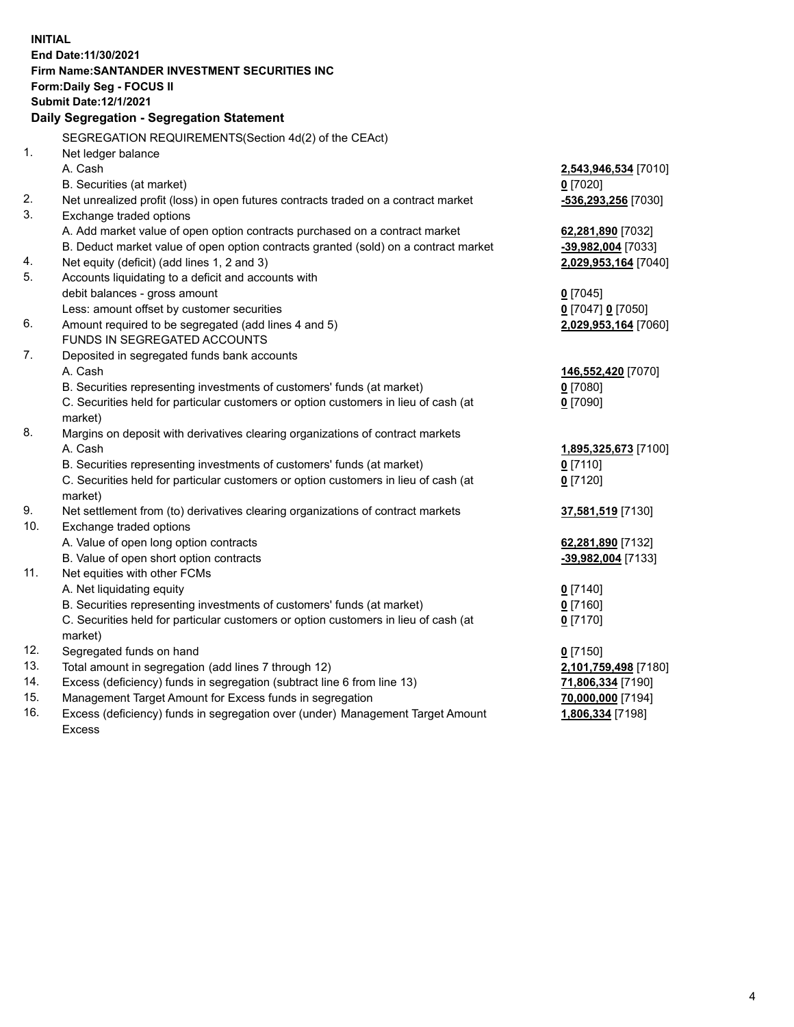| <b>INITIAL</b> |                                                                                     |                      |
|----------------|-------------------------------------------------------------------------------------|----------------------|
|                | End Date: 11/30/2021                                                                |                      |
|                | Firm Name: SANTANDER INVESTMENT SECURITIES INC                                      |                      |
|                | Form: Daily Seg - FOCUS II                                                          |                      |
|                | <b>Submit Date:12/1/2021</b>                                                        |                      |
|                | <b>Daily Segregation - Segregation Statement</b>                                    |                      |
|                | SEGREGATION REQUIREMENTS(Section 4d(2) of the CEAct)                                |                      |
| 1.             | Net ledger balance                                                                  |                      |
|                | A. Cash                                                                             | 2,543,946,534 [7010] |
|                | B. Securities (at market)                                                           | $0$ [7020]           |
| 2.             | Net unrealized profit (loss) in open futures contracts traded on a contract market  | -536,293,256 [7030]  |
| 3.             | Exchange traded options                                                             |                      |
|                | A. Add market value of open option contracts purchased on a contract market         | 62,281,890 [7032]    |
|                | B. Deduct market value of open option contracts granted (sold) on a contract market | -39,982,004 [7033]   |
| 4.             | Net equity (deficit) (add lines 1, 2 and 3)                                         | 2,029,953,164 [7040] |
| 5.             | Accounts liquidating to a deficit and accounts with                                 |                      |
|                | debit balances - gross amount                                                       | $0$ [7045]           |
|                | Less: amount offset by customer securities                                          | 0 [7047] 0 [7050]    |
| 6.             | Amount required to be segregated (add lines 4 and 5)                                | 2,029,953,164 [7060] |
|                | <b>FUNDS IN SEGREGATED ACCOUNTS</b>                                                 |                      |
| 7.             | Deposited in segregated funds bank accounts                                         |                      |
|                | A. Cash                                                                             | 146,552,420 [7070]   |
|                | B. Securities representing investments of customers' funds (at market)              | $0$ [7080]           |
|                | C. Securities held for particular customers or option customers in lieu of cash (at | $0$ [7090]           |
|                | market)                                                                             |                      |
| 8.             | Margins on deposit with derivatives clearing organizations of contract markets      |                      |
|                | A. Cash                                                                             | 1,895,325,673 [7100] |
|                | B. Securities representing investments of customers' funds (at market)              | $0$ [7110]           |
|                | C. Securities held for particular customers or option customers in lieu of cash (at | $0$ [7120]           |
|                | market)                                                                             |                      |
| 9.             | Net settlement from (to) derivatives clearing organizations of contract markets     | 37,581,519 [7130]    |
| 10.            | Exchange traded options                                                             |                      |
|                | A. Value of open long option contracts                                              | 62,281,890 [7132]    |
|                | B. Value of open short option contracts                                             | -39,982,004 [7133]   |
| 11.            | Net equities with other FCMs                                                        |                      |
|                | A. Net liquidating equity                                                           | $0$ [7140]           |
|                | B. Securities representing investments of customers' funds (at market)              | $0$ [7160]           |
|                | C. Securities held for particular customers or option customers in lieu of cash (at | $0$ [7170]           |
|                | market)                                                                             |                      |
| 12.            | Segregated funds on hand                                                            | $0$ [7150]           |
| 13.            | Total amount in segregation (add lines 7 through 12)                                | 2,101,759,498 [7180] |
| 14.            | Excess (deficiency) funds in segregation (subtract line 6 from line 13)             | 71,806,334 [7190]    |
| 15.            | Management Target Amount for Excess funds in segregation                            | 70,000,000 [7194]    |
| 16.            | Excess (deficiency) funds in segregation over (under) Management Target Amount      | 1,806,334 [7198]     |
|                | Excess                                                                              |                      |